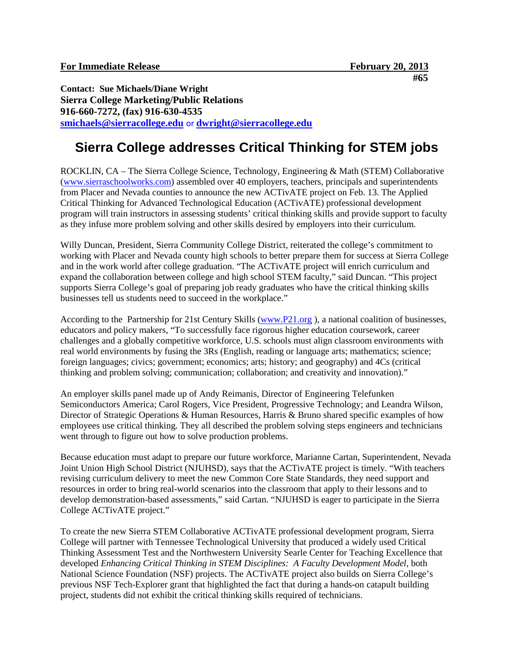**Contact: Sue Michaels/Diane Wright Sierra College Marketing/Public Relations 916-660-7272, (fax) 916-630-4535 [smichaels@sierracollege.edu](mailto:smichaels@sierracollege.edu)** or **[dwright@sierracollege.edu](mailto:dwright@sierracollege.edu)**

## **Sierra College addresses Critical Thinking for STEM jobs**

ROCKLIN, CA – The Sierra College Science, Technology, Engineering & Math (STEM) Collaborative [\(www.sierraschoolworks.com\)](http://www.sierraschoolworks.com/) assembled over 40 employers, teachers, principals and superintendents from Placer and Nevada counties to announce the new ACTivATE project on Feb. 13. The Applied Critical Thinking for Advanced Technological Education (ACTivATE) professional development program will train instructors in assessing students' critical thinking skills and provide support to faculty as they infuse more problem solving and other skills desired by employers into their curriculum.

Willy Duncan, President, Sierra Community College District, reiterated the college's commitment to working with Placer and Nevada county high schools to better prepare them for success at Sierra College and in the work world after college graduation. "The ACTivATE project will enrich curriculum and expand the collaboration between college and high school STEM faculty," said Duncan. "This project supports Sierra College's goal of preparing job ready graduates who have the critical thinking skills businesses tell us students need to succeed in the workplace."

According to the Partnership for 21st Century Skills [\(www.P21.org](http://www.p21.org/) ), a national coalition of businesses, educators and policy makers, "To successfully face rigorous higher education coursework, career challenges and a globally competitive workforce, U.S. schools must align classroom environments with real world environments by fusing the 3Rs (English, reading or language arts; mathematics; science; foreign languages; civics; government; economics; arts; history; and geography) and 4Cs (critical thinking and problem solving; communication; collaboration; and creativity and innovation)."

An employer skills panel made up of Andy Reimanis, Director of Engineering Telefunken Semiconductors America; Carol Rogers, Vice President, Progressive Technology; and Leandra Wilson, Director of Strategic Operations & Human Resources, Harris & Bruno shared specific examples of how employees use critical thinking. They all described the problem solving steps engineers and technicians went through to figure out how to solve production problems.

Because education must adapt to prepare our future workforce, Marianne Cartan, Superintendent, Nevada Joint Union High School District (NJUHSD), says that the ACTivATE project is timely. "With teachers revising curriculum delivery to meet the new Common Core State Standards, they need support and resources in order to bring real-world scenarios into the classroom that apply to their lessons and to develop demonstration-based assessments," said Cartan. "NJUHSD is eager to participate in the Sierra College ACTivATE project."

To create the new Sierra STEM Collaborative ACTivATE professional development program, Sierra College will partner with Tennessee Technological University that produced a widely used Critical Thinking Assessment Test and the Northwestern University Searle Center for Teaching Excellence that developed *Enhancing Critical Thinking in STEM Disciplines: A Faculty Development Model*, both National Science Foundation (NSF) projects. The ACTivATE project also builds on Sierra College's previous NSF Tech-Explorer grant that highlighted the fact that during a hands-on catapult building project, students did not exhibit the critical thinking skills required of technicians.